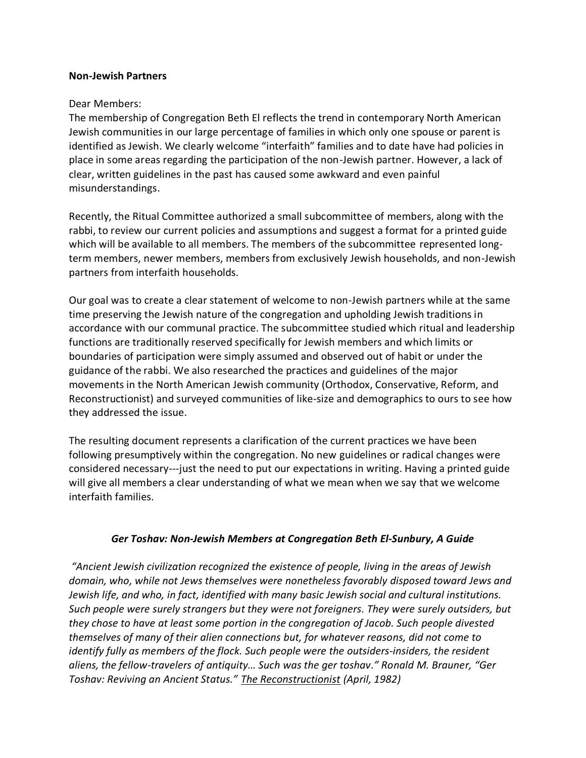#### **Non-Jewish Partners**

#### Dear Members:

The membership of Congregation Beth El reflects the trend in contemporary North American Jewish communities in our large percentage of families in which only one spouse or parent is identified as Jewish. We clearly welcome "interfaith" families and to date have had policies in place in some areas regarding the participation of the non-Jewish partner. However, a lack of clear, written guidelines in the past has caused some awkward and even painful misunderstandings.

Recently, the Ritual Committee authorized a small subcommittee of members, along with the rabbi, to review our current policies and assumptions and suggest a format for a printed guide which will be available to all members. The members of the subcommittee represented longterm members, newer members, members from exclusively Jewish households, and non-Jewish partners from interfaith households.

Our goal was to create a clear statement of welcome to non-Jewish partners while at the same time preserving the Jewish nature of the congregation and upholding Jewish traditions in accordance with our communal practice. The subcommittee studied which ritual and leadership functions are traditionally reserved specifically for Jewish members and which limits or boundaries of participation were simply assumed and observed out of habit or under the guidance of the rabbi. We also researched the practices and guidelines of the major movements in the North American Jewish community (Orthodox, Conservative, Reform, and Reconstructionist) and surveyed communities of like-size and demographics to ours to see how they addressed the issue.

The resulting document represents a clarification of the current practices we have been following presumptively within the congregation. No new guidelines or radical changes were considered necessary---just the need to put our expectations in writing. Having a printed guide will give all members a clear understanding of what we mean when we say that we welcome interfaith families.

## *Ger Toshav: Non-Jewish Members at Congregation Beth El-Sunbury, A Guide*

*"Ancient Jewish civilization recognized the existence of people, living in the areas of Jewish domain, who, while not Jews themselves were nonetheless favorably disposed toward Jews and Jewish life, and who, in fact, identified with many basic Jewish social and cultural institutions. Such people were surely strangers but they were not foreigners. They were surely outsiders, but they chose to have at least some portion in the congregation of Jacob. Such people divested themselves of many of their alien connections but, for whatever reasons, did not come to identify fully as members of the flock. Such people were the outsiders-insiders, the resident aliens, the fellow-travelers of antiquity… Such was the ger toshav." Ronald M. Brauner, "Ger Toshav: Reviving an Ancient Status." The Reconstructionist (April, 1982)*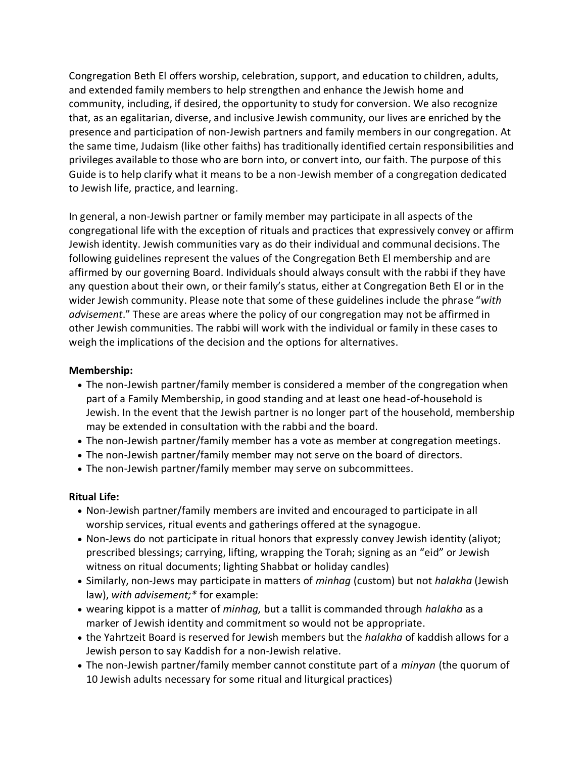Congregation Beth El offers worship, celebration, support, and education to children, adults, and extended family members to help strengthen and enhance the Jewish home and community, including, if desired, the opportunity to study for conversion. We also recognize that, as an egalitarian, diverse, and inclusive Jewish community, our lives are enriched by the presence and participation of non-Jewish partners and family members in our congregation. At the same time, Judaism (like other faiths) has traditionally identified certain responsibilities and privileges available to those who are born into, or convert into, our faith. The purpose of this Guide is to help clarify what it means to be a non-Jewish member of a congregation dedicated to Jewish life, practice, and learning.

In general, a non-Jewish partner or family member may participate in all aspects of the congregational life with the exception of rituals and practices that expressively convey or affirm Jewish identity. Jewish communities vary as do their individual and communal decisions. The following guidelines represent the values of the Congregation Beth El membership and are affirmed by our governing Board. Individuals should always consult with the rabbi if they have any question about their own, or their family's status, either at Congregation Beth El or in the wider Jewish community. Please note that some of these guidelines include the phrase "*with advisement*." These are areas where the policy of our congregation may not be affirmed in other Jewish communities. The rabbi will work with the individual or family in these cases to weigh the implications of the decision and the options for alternatives.

## **Membership:**

- The non-Jewish partner/family member is considered a member of the congregation when part of a Family Membership, in good standing and at least one head-of-household is Jewish. In the event that the Jewish partner is no longer part of the household, membership may be extended in consultation with the rabbi and the board.
- The non-Jewish partner/family member has a vote as member at congregation meetings.
- The non-Jewish partner/family member may not serve on the board of directors.
- The non-Jewish partner/family member may serve on subcommittees.

## **Ritual Life:**

- Non-Jewish partner/family members are invited and encouraged to participate in all worship services, ritual events and gatherings offered at the synagogue.
- Non-Jews do not participate in ritual honors that expressly convey Jewish identity (aliyot; prescribed blessings; carrying, lifting, wrapping the Torah; signing as an "eid" or Jewish witness on ritual documents; lighting Shabbat or holiday candles)
- Similarly, non-Jews may participate in matters of *minhag* (custom) but not *halakha* (Jewish law), *with advisement;\** for example:
- wearing kippot is a matter of *minhag,* but a tallit is commanded through *halakha* as a marker of Jewish identity and commitment so would not be appropriate.
- the Yahrtzeit Board is reserved for Jewish members but the *halakha* of kaddish allows for a Jewish person to say Kaddish for a non-Jewish relative.
- The non-Jewish partner/family member cannot constitute part of a *minyan* (the quorum of 10 Jewish adults necessary for some ritual and liturgical practices)